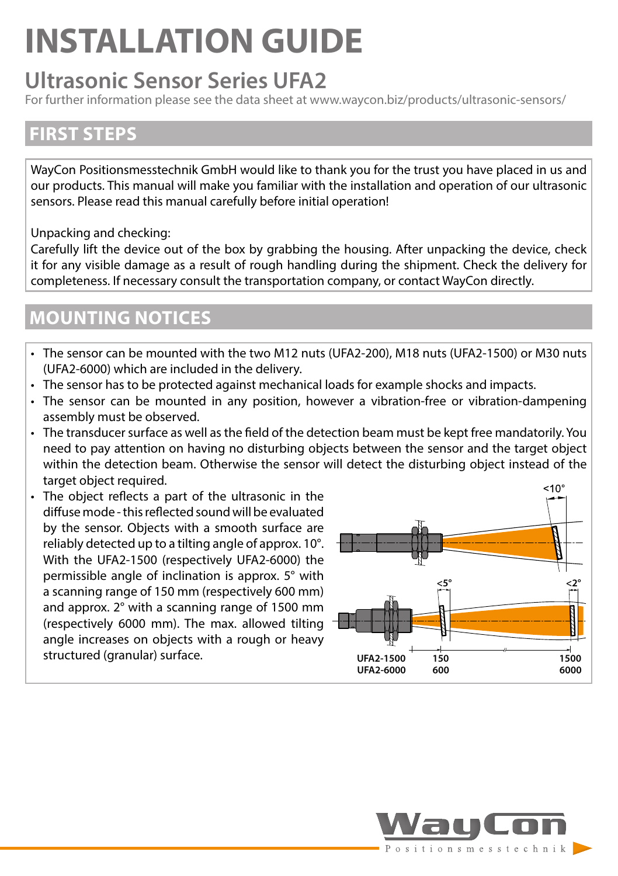# **INSTALLATION GUIDE**

# **Ultrasonic Sensor Series UFA2**

For further information please see the data sheet at www.waycon.biz/products/ultrasonic-sensors/

### **FIRST STEPS**

WayCon Positionsmesstechnik GmbH would like to thank you for the trust you have placed in us and our products. This manual will make you familiar with the installation and operation of our ultrasonic sensors. Please read this manual carefully before initial operation!

Unpacking and checking:

Carefully lift the device out of the box by grabbing the housing. After unpacking the device, check it for any visible damage as a result of rough handling during the shipment. Check the delivery for completeness. If necessary consult the transportation company, or contact WayCon directly.

### **MOUNTING NOTICES**

- The sensor can be mounted with the two M12 nuts (UFA2-200), M18 nuts (UFA2-1500) or M30 nuts (UFA2-6000) which are included in the delivery.
- The sensor has to be protected against mechanical loads for example shocks and impacts.
- The sensor can be mounted in any position, however a vibration-free or vibration-dampening assembly must be observed.
- The transducer surface as well as the field of the detection beam must be kept free mandatorily. You need to pay attention on having no disturbing objects between the sensor and the target object within the detection beam. Otherwise the sensor will detect the disturbing object instead of the target object required.
- The object reflects a part of the ultrasonic in the diffuse mode - this reflected sound will be evaluated by the sensor. Objects with a smooth surface are reliably detected up to a tilting angle of approx. 10°. With the UFA2-1500 (respectively UFA2-6000) the permissible angle of inclination is approx. 5° with a scanning range of 150 mm (respectively 600 mm) and approx. 2° with a scanning range of 1500 mm (respectively 6000 mm). The max. allowed tilting  $\pm$ angle increases on objects with a rough or heavy structured (granular) surface.



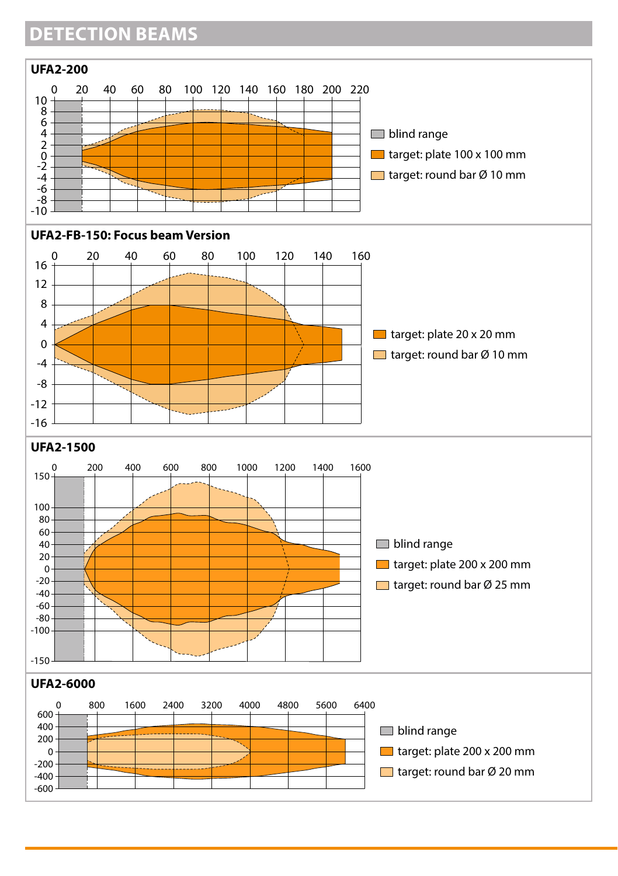# **DETECTION BEAMS**

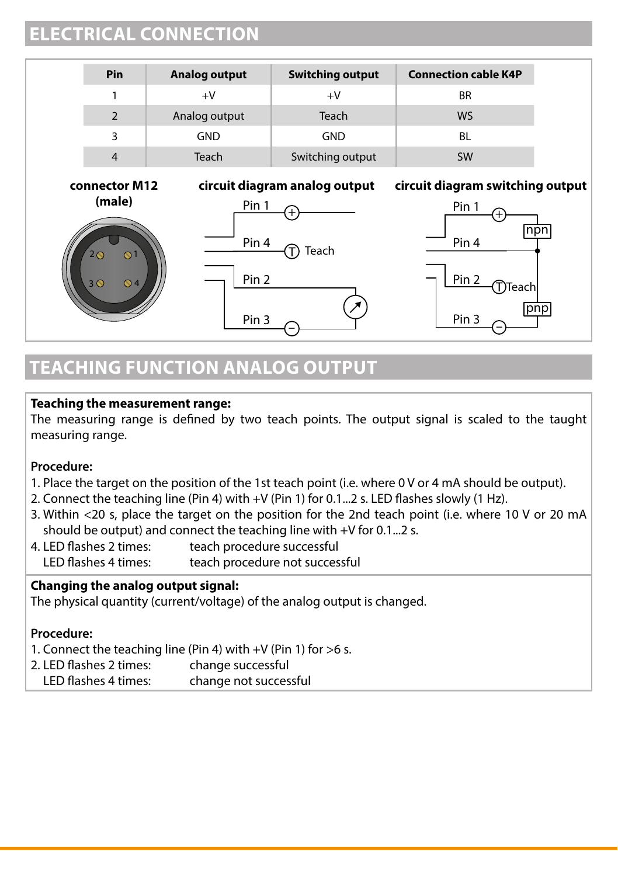### **ELECTRICAL CONNECTION**

| Pin            | Analog output | <b>Switching output</b> | <b>Connection cable K4P</b> |
|----------------|---------------|-------------------------|-----------------------------|
|                | +V            | $+V$                    | <b>BR</b>                   |
| 2              | Analog output | Teach                   | WS                          |
| 3              | <b>GND</b>    | <b>GND</b>              | BL                          |
| $\overline{4}$ | Teach         | Switching output        | SW                          |











## **TEACHING FUNCTION ANALOG OUTPUT**

#### **Teaching the measurement range:**

The measuring range is defined by two teach points. The output signal is scaled to the taught measuring range.

#### **Procedure:**

- 1. Place the target on the position of the 1st teach point (i.e. where 0 V or 4 mA should be output).
- 2. Connect the teaching line (Pin 4) with +V (Pin 1) for 0.1...2 s. LED flashes slowly (1 Hz).
- 3. Within <20 s, place the target on the position for the 2nd teach point (i.e. where 10 V or 20 mA should be output) and connect the teaching line with +V for 0.1...2 s.
- 4. LED flashes 2 times: teach procedure successful LED flashes 4 times: teach procedure not successful

#### **Changing the analog output signal:**

The physical quantity (current/voltage) of the analog output is changed.

#### **Procedure:**

- 1. Connect the teaching line (Pin 4) with +V (Pin 1) for >6 s.
- 2. LED flashes 2 times: change successful
- LED flashes 4 times: change not successful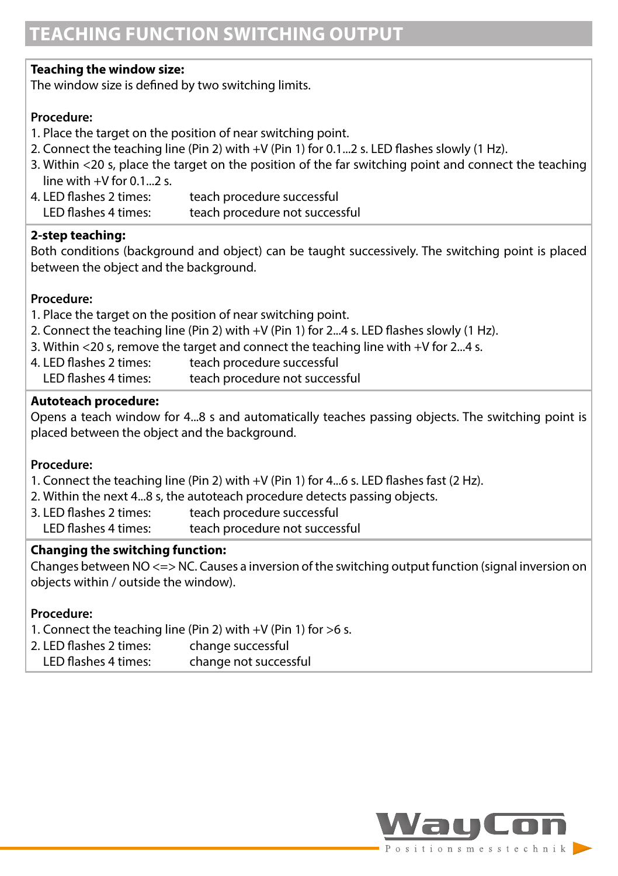#### **Teaching the window size:**

The window size is defined by two switching limits.

#### **Procedure:**

- 1. Place the target on the position of near switching point.
- 2. Connect the teaching line (Pin 2) with +V (Pin 1) for 0.1...2 s. LED flashes slowly (1 Hz).
- 3. Within <20 s, place the target on the position of the far switching point and connect the teaching line with  $+V$  for 0.1...2 s.<br>4 I FD flashes 2 times:
- teach procedure successful LED flashes 4 times: teach procedure not successful

#### **2-step teaching:**

Both conditions (background and object) can be taught successively. The switching point is placed between the object and the background.

#### **Procedure:**

- 1. Place the target on the position of near switching point.
- 2. Connect the teaching line (Pin 2) with +V (Pin 1) for 2...4 s. LED flashes slowly (1 Hz).
- 3. Within <20 s, remove the target and connect the teaching line with +V for 2...4 s.
- 4. LED flashes 2 times: teach procedure successful
- LED flashes 4 times: teach procedure not successful

#### **Autoteach procedure:**

Opens a teach window for 4...8 s and automatically teaches passing objects. The switching point is placed between the object and the background.

#### **Procedure:**

- 1. Connect the teaching line (Pin 2) with +V (Pin 1) for 4...6 s. LED flashes fast (2 Hz).
- 2. Within the next 4...8 s, the autoteach procedure detects passing objects.
- 3. LED flashes 2 times: teach procedure successful LED flashes 4 times: teach procedure not successful

#### **Changing the switching function:**

Changes between NO <=> NC. Causes a inversion of the switching output function (signal inversion on objects within / outside the window).

#### **Procedure:**

- 1. Connect the teaching line (Pin 2) with +V (Pin 1) for >6 s.
- 2. LED flashes 2 times: change successful
- LED flashes 4 times: change not successful

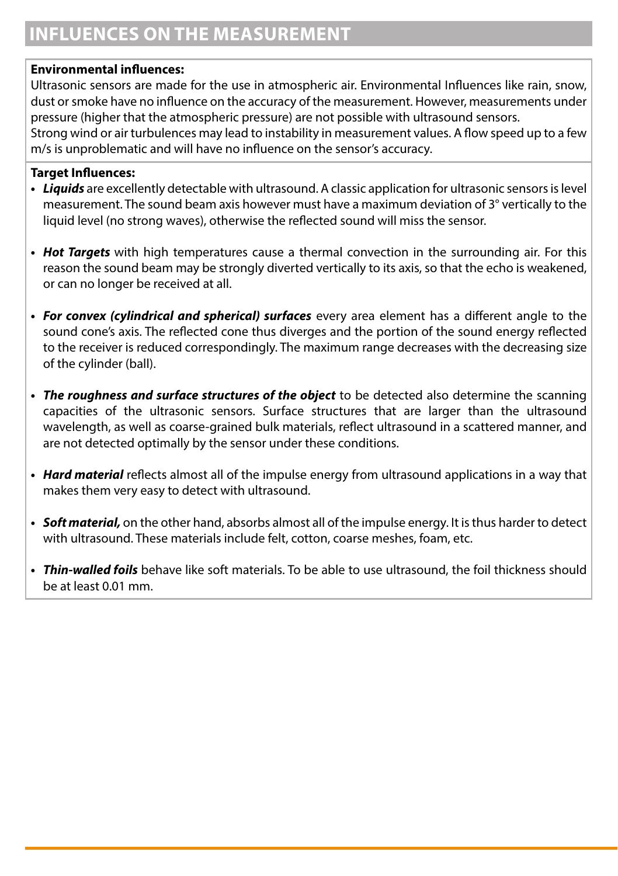## **INFLUENCES ON THE MEASUREMENT**

#### **Environmental influences:**

Ultrasonic sensors are made for the use in atmospheric air. Environmental Influences like rain, snow, dust or smoke have no influence on the accuracy of the measurement. However, measurements under pressure (higher that the atmospheric pressure) are not possible with ultrasound sensors. Strong wind or air turbulences may lead to instability in measurement values. A flow speed up to a few

m/s is unproblematic and will have no influence on the sensor's accuracy.

#### **Target Influences:**

- *• Liquids* are excellently detectable with ultrasound. A classic application for ultrasonic sensors is level measurement. The sound beam axis however must have a maximum deviation of 3° vertically to the liquid level (no strong waves), otherwise the reflected sound will miss the sensor.
- *• Hot Targets* with high temperatures cause a thermal convection in the surrounding air. For this reason the sound beam may be strongly diverted vertically to its axis, so that the echo is weakened, or can no longer be received at all.
- *• For convex (cylindrical and spherical) surfaces* every area element has a different angle to the sound cone's axis. The reflected cone thus diverges and the portion of the sound energy reflected to the receiver is reduced correspondingly. The maximum range decreases with the decreasing size of the cylinder (ball).
- *• The roughness and surface structures of the object* to be detected also determine the scanning capacities of the ultrasonic sensors. Surface structures that are larger than the ultrasound wavelength, as well as coarse-grained bulk materials, reflect ultrasound in a scattered manner, and are not detected optimally by the sensor under these conditions.
- *• Hard material* reflects almost all of the impulse energy from ultrasound applications in a way that makes them very easy to detect with ultrasound.
- *• Soft material,* on the other hand, absorbs almost all of the impulse energy. It is thus harder to detect with ultrasound. These materials include felt, cotton, coarse meshes, foam, etc.
- *• Thin-walled foils* behave like soft materials. To be able to use ultrasound, the foil thickness should be at least 0.01 mm.